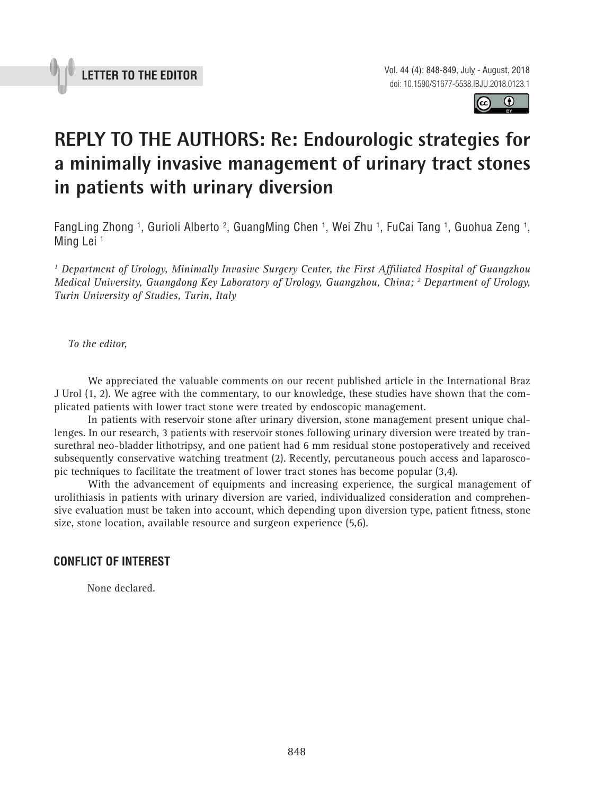



## **REPLY TO THE AUTHORS: Re: Endourologic strategies for a minimally invasive management of urinary tract stones in patients with urinary diversion**

FangLing Zhong <sup>1</sup>, Gurioli Alberto <sup>2</sup>, GuangMing Chen <sup>1</sup>, Wei Zhu <sup>1</sup>, FuCai Tang <sup>1</sup>, Guohua Zeng <sup>1</sup>, Ming Lei<sup>1</sup>

*1 Department of Urology, Minimally Invasive Surgery Center, the First Affiliated Hospital of Guangzhou Medical University, Guangdong Key Laboratory of Urology, Guangzhou, China; 2 Department of Urology, Turin University of Studies, Turin, Italy*

*To the editor,*

We appreciated the valuable comments on our recent published article in the International Braz J Urol (1, 2). We agree with the commentary, to our knowledge, these studies have shown that the complicated patients with lower tract stone were treated by endoscopic management.

In patients with reservoir stone after urinary diversion, stone management present unique challenges. In our research, 3 patients with reservoir stones following urinary diversion were treated by transurethral neo-bladder lithotripsy, and one patient had 6 mm residual stone postoperatively and received subsequently conservative watching treatment (2). Recently, percutaneous pouch access and laparoscopic techniques to facilitate the treatment of lower tract stones has become popular (3,4).

With the advancement of equipments and increasing experience, the surgical management of urolithiasis in patients with urinary diversion are varied, individualized consideration and comprehensive evaluation must be taken into account, which depending upon diversion type, patient fitness, stone size, stone location, available resource and surgeon experience (5,6).

## **CONFLICT OF INTEREST**

None declared.